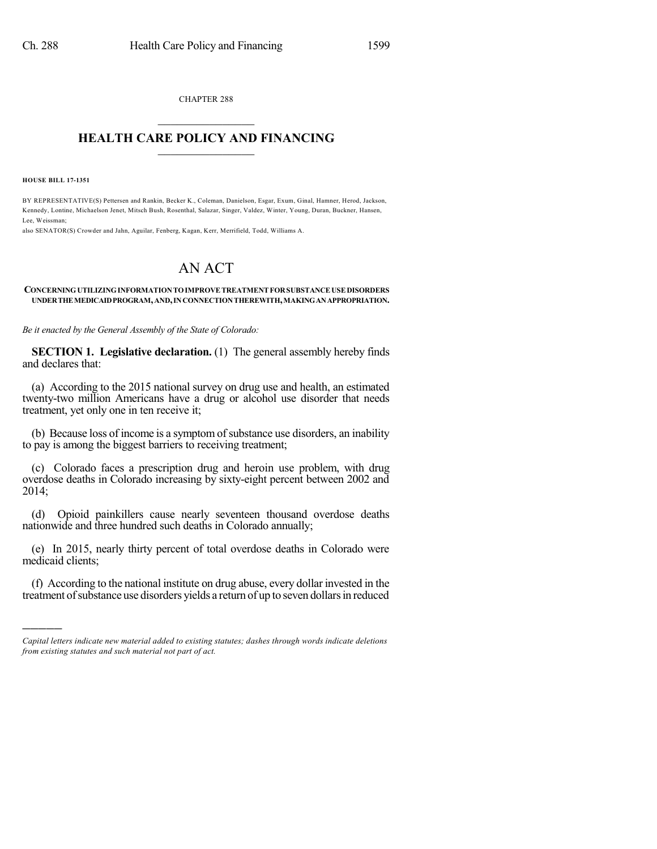CHAPTER 288  $\mathcal{L}_\text{max}$  . The set of the set of the set of the set of the set of the set of the set of the set of the set of the set of the set of the set of the set of the set of the set of the set of the set of the set of the set

## **HEALTH CARE POLICY AND FINANCING**  $\_$   $\_$   $\_$   $\_$   $\_$   $\_$   $\_$   $\_$

**HOUSE BILL 17-1351**

)))))

BY REPRESENTATIVE(S) Pettersen and Rankin, Becker K., Coleman, Danielson, Esgar, Exum, Ginal, Hamner, Herod, Jackson, Kennedy, Lontine, Michaelson Jenet, Mitsch Bush, Rosenthal, Salazar, Singer, Valdez, Winter, Young, Duran, Buckner, Hansen, Lee, Weissman;

also SENATOR(S) Crowder and Jahn, Aguilar, Fenberg, Kagan, Kerr, Merrifield, Todd, Williams A.

## AN ACT

## **CONCERNINGUTILIZINGINFORMATIONTOIMPROVETREATMENTFORSUBSTANCEUSEDISORDERS UNDERTHEMEDICAIDPROGRAM,AND,INCONNECTIONTHEREWITH,MAKINGANAPPROPRIATION.**

*Be it enacted by the General Assembly of the State of Colorado:*

**SECTION 1. Legislative declaration.** (1) The general assembly hereby finds and declares that:

(a) According to the 2015 national survey on drug use and health, an estimated twenty-two million Americans have a drug or alcohol use disorder that needs treatment, yet only one in ten receive it;

(b) Because loss of income is a symptom of substance use disorders, an inability to pay is among the biggest barriers to receiving treatment;

(c) Colorado faces a prescription drug and heroin use problem, with drug overdose deaths in Colorado increasing by sixty-eight percent between 2002 and 2014;

(d) Opioid painkillers cause nearly seventeen thousand overdose deaths nationwide and three hundred such deaths in Colorado annually;

(e) In 2015, nearly thirty percent of total overdose deaths in Colorado were medicaid clients;

(f) According to the national institute on drug abuse, every dollar invested in the treatment ofsubstance use disorders yields a return of up to seven dollarsin reduced

*Capital letters indicate new material added to existing statutes; dashes through words indicate deletions from existing statutes and such material not part of act.*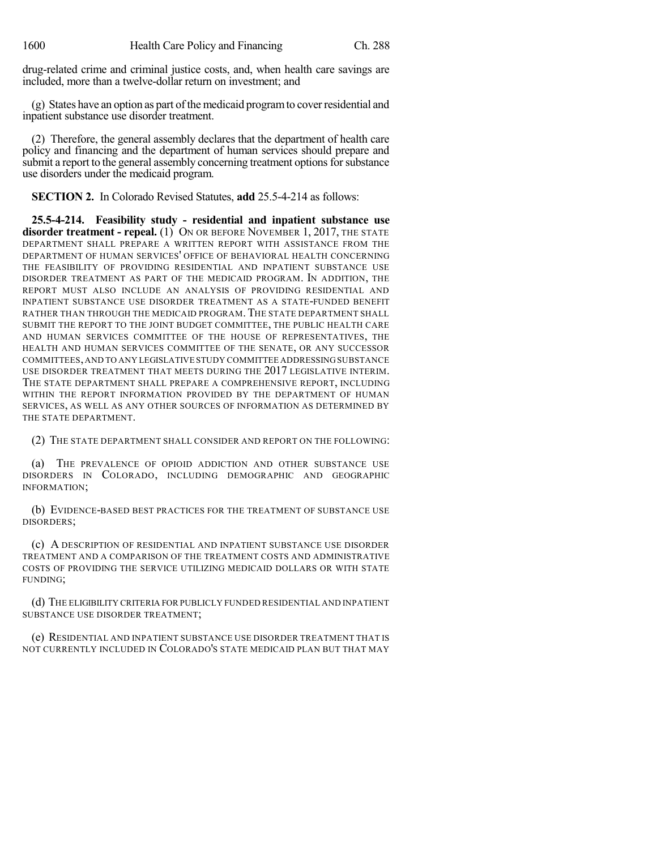drug-related crime and criminal justice costs, and, when health care savings are included, more than a twelve-dollar return on investment; and

(g) States have an option as part of the medicaid program to cover residential and inpatient substance use disorder treatment.

(2) Therefore, the general assembly declares that the department of health care policy and financing and the department of human services should prepare and submit a report to the general assembly concerning treatment options for substance use disorders under the medicaid program.

**SECTION 2.** In Colorado Revised Statutes, **add** 25.5-4-214 as follows:

**25.5-4-214. Feasibility study - residential and inpatient substance use disorder treatment - repeal.** (1) ON OR BEFORE NOVEMBER 1, 2017, THE STATE DEPARTMENT SHALL PREPARE A WRITTEN REPORT WITH ASSISTANCE FROM THE DEPARTMENT OF HUMAN SERVICES' OFFICE OF BEHAVIORAL HEALTH CONCERNING THE FEASIBILITY OF PROVIDING RESIDENTIAL AND INPATIENT SUBSTANCE USE DISORDER TREATMENT AS PART OF THE MEDICAID PROGRAM. IN ADDITION, THE REPORT MUST ALSO INCLUDE AN ANALYSIS OF PROVIDING RESIDENTIAL AND INPATIENT SUBSTANCE USE DISORDER TREATMENT AS A STATE-FUNDED BENEFIT RATHER THAN THROUGH THE MEDICAID PROGRAM.THE STATE DEPARTMENT SHALL SUBMIT THE REPORT TO THE JOINT BUDGET COMMITTEE, THE PUBLIC HEALTH CARE AND HUMAN SERVICES COMMITTEE OF THE HOUSE OF REPRESENTATIVES, THE HEALTH AND HUMAN SERVICES COMMITTEE OF THE SENATE, OR ANY SUCCESSOR COMMITTEES,AND TO ANY LEGISLATIVE STUDY COMMITTEE ADDRESSINGSUBSTANCE USE DISORDER TREATMENT THAT MEETS DURING THE 2017 LEGISLATIVE INTERIM. THE STATE DEPARTMENT SHALL PREPARE A COMPREHENSIVE REPORT, INCLUDING WITHIN THE REPORT INFORMATION PROVIDED BY THE DEPARTMENT OF HUMAN SERVICES, AS WELL AS ANY OTHER SOURCES OF INFORMATION AS DETERMINED BY THE STATE DEPARTMENT.

(2) THE STATE DEPARTMENT SHALL CONSIDER AND REPORT ON THE FOLLOWING:

(a) THE PREVALENCE OF OPIOID ADDICTION AND OTHER SUBSTANCE USE DISORDERS IN COLORADO, INCLUDING DEMOGRAPHIC AND GEOGRAPHIC INFORMATION;

(b) EVIDENCE-BASED BEST PRACTICES FOR THE TREATMENT OF SUBSTANCE USE DISORDERS;

(c) A DESCRIPTION OF RESIDENTIAL AND INPATIENT SUBSTANCE USE DISORDER TREATMENT AND A COMPARISON OF THE TREATMENT COSTS AND ADMINISTRATIVE COSTS OF PROVIDING THE SERVICE UTILIZING MEDICAID DOLLARS OR WITH STATE FUNDING;

(d) THE ELIGIBILITY CRITERIA FOR PUBLICLY FUNDED RESIDENTIAL AND INPATIENT SUBSTANCE USE DISORDER TREATMENT;

(e) RESIDENTIAL AND INPATIENT SUBSTANCE USE DISORDER TREATMENT THAT IS NOT CURRENTLY INCLUDED IN COLORADO'S STATE MEDICAID PLAN BUT THAT MAY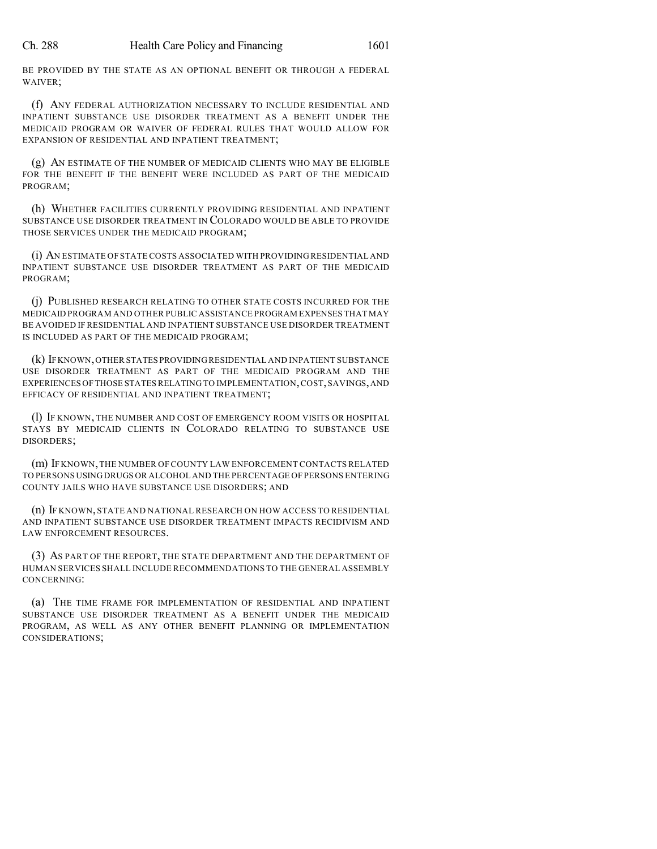BE PROVIDED BY THE STATE AS AN OPTIONAL BENEFIT OR THROUGH A FEDERAL WAIVER;

(f) ANY FEDERAL AUTHORIZATION NECESSARY TO INCLUDE RESIDENTIAL AND INPATIENT SUBSTANCE USE DISORDER TREATMENT AS A BENEFIT UNDER THE MEDICAID PROGRAM OR WAIVER OF FEDERAL RULES THAT WOULD ALLOW FOR EXPANSION OF RESIDENTIAL AND INPATIENT TREATMENT;

(g) AN ESTIMATE OF THE NUMBER OF MEDICAID CLIENTS WHO MAY BE ELIGIBLE FOR THE BENEFIT IF THE BENEFIT WERE INCLUDED AS PART OF THE MEDICAID PROGRAM;

(h) WHETHER FACILITIES CURRENTLY PROVIDING RESIDENTIAL AND INPATIENT SUBSTANCE USE DISORDER TREATMENT IN COLORADO WOULD BE ABLE TO PROVIDE THOSE SERVICES UNDER THE MEDICAID PROGRAM;

(i) AN ESTIMATE OF STATE COSTS ASSOCIATED WITH PROVIDING RESIDENTIAL AND INPATIENT SUBSTANCE USE DISORDER TREATMENT AS PART OF THE MEDICAID PROGRAM;

(j) PUBLISHED RESEARCH RELATING TO OTHER STATE COSTS INCURRED FOR THE MEDICAID PROGRAM AND OTHER PUBLIC ASSISTANCE PROGRAM EXPENSES THAT MAY BE AVOIDED IF RESIDENTIAL AND INPATIENT SUBSTANCE USE DISORDER TREATMENT IS INCLUDED AS PART OF THE MEDICAID PROGRAM;

(k) IFKNOWN,OTHER STATES PROVIDINGRESIDENTIAL AND INPATIENT SUBSTANCE USE DISORDER TREATMENT AS PART OF THE MEDICAID PROGRAM AND THE EXPERIENCES OFTHOSE STATESRELATING TO IMPLEMENTATION,COST,SAVINGS,AND EFFICACY OF RESIDENTIAL AND INPATIENT TREATMENT;

(l) IF KNOWN, THE NUMBER AND COST OF EMERGENCY ROOM VISITS OR HOSPITAL STAYS BY MEDICAID CLIENTS IN COLORADO RELATING TO SUBSTANCE USE DISORDERS;

(m) IF KNOWN,THE NUMBER OF COUNTY LAW ENFORCEMENT CONTACTS RELATED TO PERSONS USINGDRUGS OR ALCOHOL AND THE PERCENTAGE OF PERSONS ENTERING COUNTY JAILS WHO HAVE SUBSTANCE USE DISORDERS; AND

(n) IF KNOWN, STATE AND NATIONAL RESEARCH ON HOW ACCESS TO RESIDENTIAL AND INPATIENT SUBSTANCE USE DISORDER TREATMENT IMPACTS RECIDIVISM AND LAW ENFORCEMENT RESOURCES.

(3) AS PART OF THE REPORT, THE STATE DEPARTMENT AND THE DEPARTMENT OF HUMAN SERVICES SHALL INCLUDE RECOMMENDATIONS TO THE GENERAL ASSEMBLY CONCERNING:

(a) THE TIME FRAME FOR IMPLEMENTATION OF RESIDENTIAL AND INPATIENT SUBSTANCE USE DISORDER TREATMENT AS A BENEFIT UNDER THE MEDICAID PROGRAM, AS WELL AS ANY OTHER BENEFIT PLANNING OR IMPLEMENTATION CONSIDERATIONS;